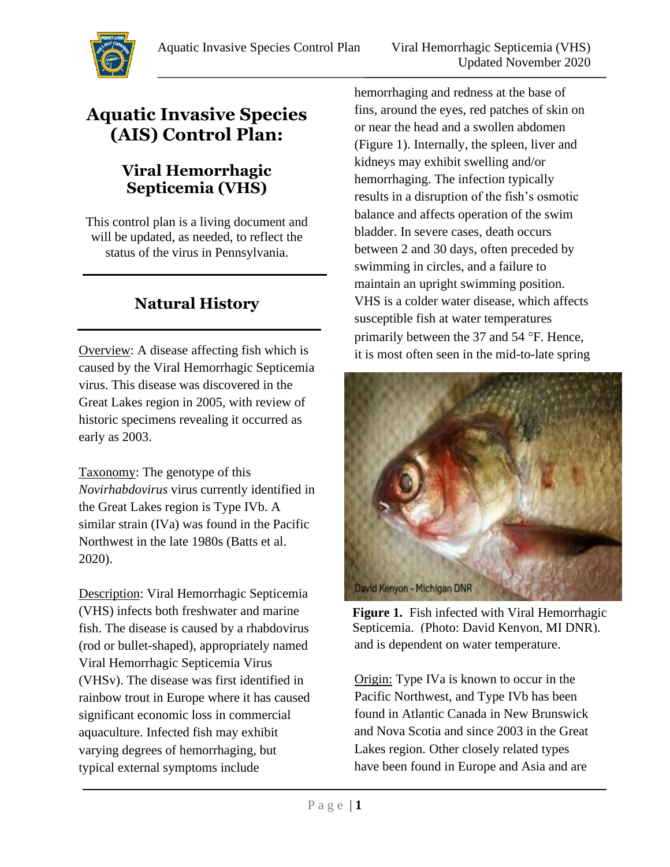

# **Aquatic Invasive Species (AIS) Control Plan:**

### **Viral Hemorrhagic Septicemia (VHS)**

This control plan is a living document and will be updated, as needed, to reflect the status of the virus in Pennsylvania.

## **Natural History**

Overview: A disease affecting fish which is caused by the Viral Hemorrhagic Septicemia virus. This disease was discovered in the Great Lakes region in 2005, with review of historic specimens revealing it occurred as early as 2003.

Taxonomy: The genotype of this *Novirhabdovirus* virus currently identified in the Great Lakes region is Type IVb. A similar strain (IVa) was found in the Pacific Northwest in the late 1980s (Batts et al. 2020).

Description: Viral Hemorrhagic Septicemia (VHS) infects both freshwater and marine fish. The disease is caused by a rhabdovirus (rod or bullet-shaped), appropriately named Viral Hemorrhagic Septicemia Virus (VHSv). The disease was first identified in rainbow trout in Europe where it has caused significant economic loss in commercial aquaculture. Infected fish may exhibit varying degrees of hemorrhaging, but typical external symptoms include

hemorrhaging and redness at the base of fins, around the eyes, red patches of skin on or near the head and a swollen abdomen (Figure 1). Internally, the spleen, liver and kidneys may exhibit swelling and/or hemorrhaging. The infection typically results in a disruption of the fish's osmotic balance and affects operation of the swim bladder. In severe cases, death occurs between 2 and 30 days, often preceded by swimming in circles, and a failure to maintain an upright swimming position. VHS is a colder water disease, which affects susceptible fish at water temperatures primarily between the 37 and  $54$  °F. Hence, it is most often seen in the mid-to-late spring



and is dependent on water temperature. **Figure 1.** Fish infected with Viral Hemorrhagic Septicemia. (Photo: David Kenyon, MI DNR).

Origin: Type IVa is known to occur in the Pacific Northwest, and Type IVb has been found in Atlantic Canada in New Brunswick and Nova Scotia and since 2003 in the Great Lakes region. Other closely related types have been found in Europe and Asia and are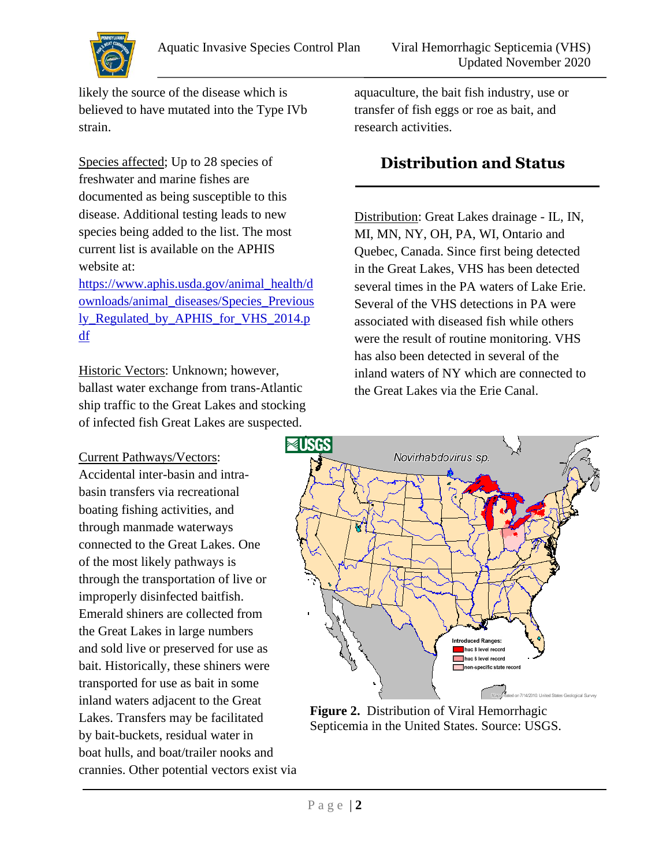

likely the source of the disease which is believed to have mutated into the Type IVb strain.

Species affected; Up to 28 species of freshwater and marine fishes are documented as being susceptible to this disease. Additional testing leads to new species being added to the list. The most current list is available on the APHIS website at:

[https://www.aphis.usda.gov/animal\\_health/d](https://www.aphis.usda.gov/animal_health/downloads/animal_diseases/Species_Previously_Regulated_by_APHIS_for_VHS_2014.pdf) [ownloads/animal\\_diseases/Species\\_Previous](https://www.aphis.usda.gov/animal_health/downloads/animal_diseases/Species_Previously_Regulated_by_APHIS_for_VHS_2014.pdf) [ly\\_Regulated\\_by\\_APHIS\\_for\\_VHS\\_2014.p](https://www.aphis.usda.gov/animal_health/downloads/animal_diseases/Species_Previously_Regulated_by_APHIS_for_VHS_2014.pdf) [df](https://www.aphis.usda.gov/animal_health/downloads/animal_diseases/Species_Previously_Regulated_by_APHIS_for_VHS_2014.pdf)

Historic Vectors: Unknown; however, ballast water exchange from trans-Atlantic ship traffic to the Great Lakes and stocking of infected fish Great Lakes are suspected.

#### Current Pathways/Vectors:

Accidental inter-basin and intrabasin transfers via recreational boating fishing activities, and through manmade waterways connected to the Great Lakes. One of the most likely pathways is through the transportation of live or improperly disinfected baitfish. Emerald shiners are collected from the Great Lakes in large numbers and sold live or preserved for use as bait. Historically, these shiners were transported for use as bait in some inland waters adjacent to the Great Lakes. Transfers may be facilitated by bait-buckets, residual water in boat hulls, and boat/trailer nooks and crannies. Other potential vectors exist via

aquaculture, the bait fish industry, use or transfer of fish eggs or roe as bait, and research activities.

#### **Distribution and Status**

Distribution: Great Lakes drainage - IL, IN, MI, MN, NY, OH, PA, WI, Ontario and Quebec, Canada. Since first being detected in the Great Lakes, VHS has been detected several times in the PA waters of Lake Erie. Several of the VHS detections in PA were associated with diseased fish while others were the result of routine monitoring. VHS has also been detected in several of the inland waters of NY which are connected to the Great Lakes via the Erie Canal.



**Figure 2.** Distribution of Viral Hemorrhagic Septicemia in the United States. Source: USGS.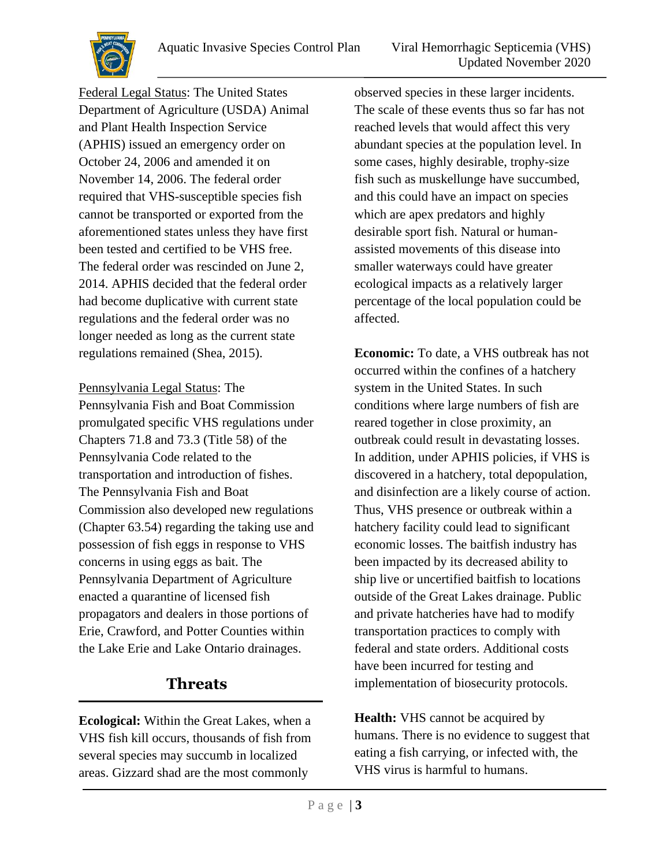

Federal Legal Status: The United States Department of Agriculture (USDA) Animal and Plant Health Inspection Service (APHIS) issued an emergency order on October 24, 2006 and amended it on November 14, 2006. The federal order required that VHS-susceptible species fish cannot be transported or exported from the aforementioned states unless they have first been tested and certified to be VHS free. The federal order was rescinded on June 2, 2014. APHIS decided that the federal order had become duplicative with current state regulations and the federal order was no longer needed as long as the current state regulations remained (Shea, 2015).

Pennsylvania Legal Status: The Pennsylvania Fish and Boat Commission promulgated specific VHS regulations under Chapters 71.8 and 73.3 (Title 58) of the Pennsylvania Code related to the transportation and introduction of fishes. The Pennsylvania Fish and Boat Commission also developed new regulations (Chapter 63.54) regarding the taking use and possession of fish eggs in response to VHS concerns in using eggs as bait. The Pennsylvania Department of Agriculture enacted a quarantine of licensed fish propagators and dealers in those portions of Erie, Crawford, and Potter Counties within the Lake Erie and Lake Ontario drainages.

#### **Threats**

**Ecological:** Within the Great Lakes, when a VHS fish kill occurs, thousands of fish from several species may succumb in localized areas. Gizzard shad are the most commonly

observed species in these larger incidents. The scale of these events thus so far has not reached levels that would affect this very abundant species at the population level. In some cases, highly desirable, trophy-size fish such as muskellunge have succumbed, and this could have an impact on species which are apex predators and highly desirable sport fish. Natural or humanassisted movements of this disease into smaller waterways could have greater ecological impacts as a relatively larger percentage of the local population could be affected.

**Economic:** To date, a VHS outbreak has not occurred within the confines of a hatchery system in the United States. In such conditions where large numbers of fish are reared together in close proximity, an outbreak could result in devastating losses. In addition, under APHIS policies, if VHS is discovered in a hatchery, total depopulation, and disinfection are a likely course of action. Thus, VHS presence or outbreak within a hatchery facility could lead to significant economic losses. The baitfish industry has been impacted by its decreased ability to ship live or uncertified baitfish to locations outside of the Great Lakes drainage. Public and private hatcheries have had to modify transportation practices to comply with federal and state orders. Additional costs have been incurred for testing and implementation of biosecurity protocols.

**Health:** VHS cannot be acquired by humans. There is no evidence to suggest that eating a fish carrying, or infected with, the VHS virus is harmful to humans.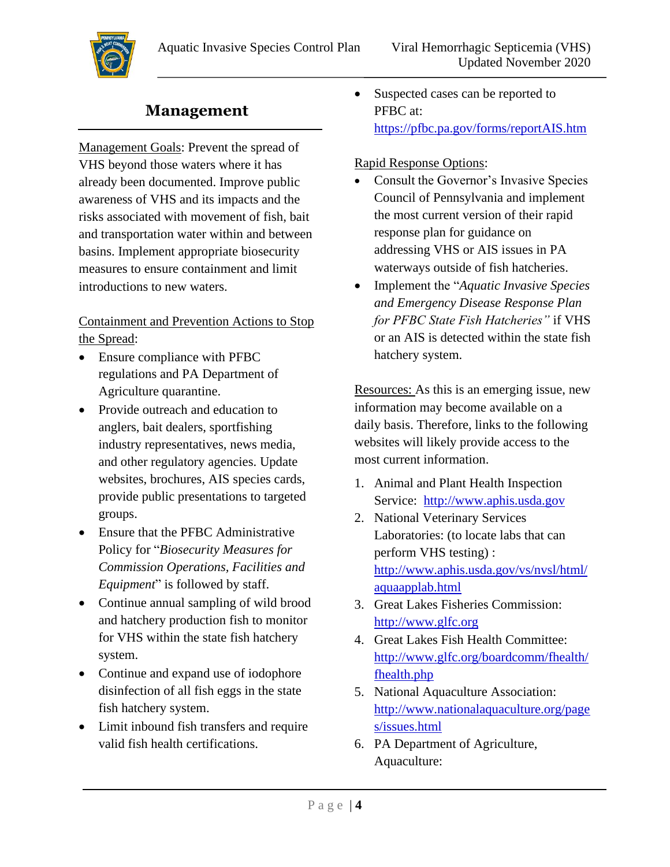

## **Management**

Management Goals: Prevent the spread of VHS beyond those waters where it has already been documented. Improve public awareness of VHS and its impacts and the risks associated with movement of fish, bait and transportation water within and between basins. Implement appropriate biosecurity measures to ensure containment and limit introductions to new waters.

#### Containment and Prevention Actions to Stop the Spread:

- Ensure compliance with PFBC regulations and PA Department of Agriculture quarantine.
- Provide outreach and education to anglers, bait dealers, sportfishing industry representatives, news media, and other regulatory agencies. Update websites, brochures, AIS species cards, provide public presentations to targeted groups.
- Ensure that the PFBC Administrative Policy for "*Biosecurity Measures for Commission Operations, Facilities and Equipment*" is followed by staff.
- Continue annual sampling of wild brood and hatchery production fish to monitor for VHS within the state fish hatchery system.
- Continue and expand use of iodophore disinfection of all fish eggs in the state fish hatchery system.
- Limit inbound fish transfers and require valid fish health certifications.

• Suspected cases can be reported to PFBC at: <https://pfbc.pa.gov/forms/reportAIS.htm>

#### Rapid Response Options:

- Consult the Governor's Invasive Species Council of Pennsylvania and implement the most current version of their rapid response plan for guidance on addressing VHS or AIS issues in PA waterways outside of fish hatcheries.
- Implement the "*Aquatic Invasive Species and Emergency Disease Response Plan for PFBC State Fish Hatcheries"* if VHS or an AIS is detected within the state fish hatchery system.

Resources: As this is an emerging issue, new information may become available on a daily basis. Therefore, links to the following websites will likely provide access to the most current information.

- 1. Animal and Plant Health Inspection Service: [http://www.aphis.usda.gov](http://www.aphis.usda.gov/)
- 2. National Veterinary Services Laboratories: (to locate labs that can perform VHS testing) : [http://www.aphis.usda.gov/vs/nvsl/html/](http://www.aphis.usda.gov/vs/nvsl/html/aquaapplab.html) [aquaapplab.html](http://www.aphis.usda.gov/vs/nvsl/html/aquaapplab.html)
- 3. Great Lakes Fisheries Commission: [http://www.glfc.org](http://www.glfc.org/)
- 4. Great Lakes Fish Health Committee: [http://www.glfc.org/boardcomm/fhealth/](http://www.glfc.org/boardcomm/fhealth/fhealth.php) [fhealth.php](http://www.glfc.org/boardcomm/fhealth/fhealth.php)
- 5. National Aquaculture Association: [http://www.nationalaquaculture.org/page](http://www.nationalaquaculture.org/pages/issues.html) [s/issues.html](http://www.nationalaquaculture.org/pages/issues.html)
- 6. PA Department of Agriculture, Aquaculture: